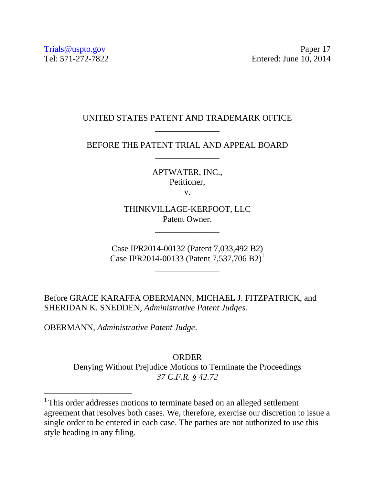## UNITED STATES PATENT AND TRADEMARK OFFICE \_\_\_\_\_\_\_\_\_\_\_\_\_\_\_

BEFORE THE PATENT TRIAL AND APPEAL BOARD \_\_\_\_\_\_\_\_\_\_\_\_\_\_\_

> APTWATER, INC., Petitioner,

v.

THINKVILLAGE-KERFOOT, LLC Patent Owner.

\_\_\_\_\_\_\_\_\_\_\_\_\_\_\_

Case IPR2014-00132 (Patent 7,033,492 B2) Case IPR2014-00133 (Patent 7,537,706 B2)<sup>1</sup>

\_\_\_\_\_\_\_\_\_\_\_\_\_\_\_

Before GRACE KARAFFA OBERMANN, MICHAEL J. FITZPATRICK, and SHERIDAN K. SNEDDEN, *Administrative Patent Judges.* 

OBERMANN, *Administrative Patent Judge*.

 $\overline{a}$ 

ORDER Denying Without Prejudice Motions to Terminate the Proceedings *37 C.F.R. § 42.72*

<sup>&</sup>lt;sup>1</sup> This order addresses motions to terminate based on an alleged settlement agreement that resolves both cases. We, therefore, exercise our discretion to issue a single order to be entered in each case. The parties are not authorized to use this style heading in any filing.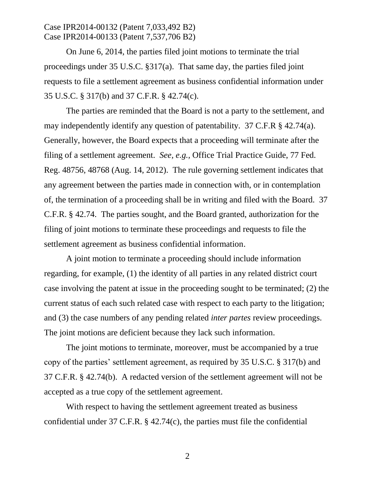### Case IPR2014-00132 (Patent 7,033,492 B2) Case IPR2014-00133 (Patent 7,537,706 B2)

On June 6, 2014, the parties filed joint motions to terminate the trial proceedings under 35 U.S.C. §317(a). That same day, the parties filed joint requests to file a settlement agreement as business confidential information under 35 U.S.C. § 317(b) and 37 C.F.R. § 42.74(c).

The parties are reminded that the Board is not a party to the settlement, and may independently identify any question of patentability. 37 C.F.R § 42.74(a). Generally, however, the Board expects that a proceeding will terminate after the filing of a settlement agreement. *See, e.g.,* Office Trial Practice Guide, 77 Fed. Reg. 48756, 48768 (Aug. 14, 2012). The rule governing settlement indicates that any agreement between the parties made in connection with, or in contemplation of, the termination of a proceeding shall be in writing and filed with the Board. 37 C.F.R. § 42.74. The parties sought, and the Board granted, authorization for the filing of joint motions to terminate these proceedings and requests to file the settlement agreement as business confidential information.

A joint motion to terminate a proceeding should include information regarding, for example, (1) the identity of all parties in any related district court case involving the patent at issue in the proceeding sought to be terminated; (2) the current status of each such related case with respect to each party to the litigation; and (3) the case numbers of any pending related *inter partes* review proceedings. The joint motions are deficient because they lack such information.

The joint motions to terminate, moreover, must be accompanied by a true copy of the parties' settlement agreement, as required by 35 U.S.C. § 317(b) and 37 C.F.R. § 42.74(b). A redacted version of the settlement agreement will not be accepted as a true copy of the settlement agreement.

With respect to having the settlement agreement treated as business confidential under 37 C.F.R. § 42.74(c), the parties must file the confidential

2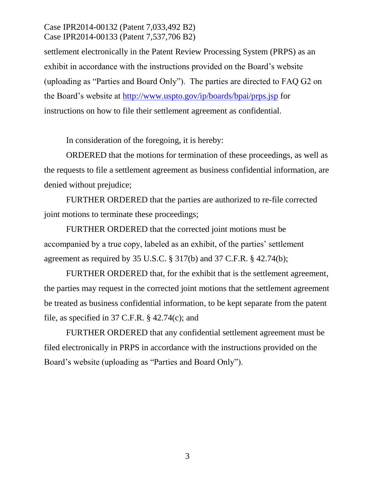## Case IPR2014-00132 (Patent 7,033,492 B2) Case IPR2014-00133 (Patent 7,537,706 B2)

settlement electronically in the Patent Review Processing System (PRPS) as an exhibit in accordance with the instructions provided on the Board's website (uploading as "Parties and Board Only"). The parties are directed to FAQ G2 on the Board's website at<http://www.uspto.gov/ip/boards/bpai/prps.jsp> for instructions on how to file their settlement agreement as confidential.

In consideration of the foregoing, it is hereby:

ORDERED that the motions for termination of these proceedings, as well as the requests to file a settlement agreement as business confidential information, are denied without prejudice;

FURTHER ORDERED that the parties are authorized to re-file corrected joint motions to terminate these proceedings;

FURTHER ORDERED that the corrected joint motions must be accompanied by a true copy, labeled as an exhibit, of the parties' settlement agreement as required by 35 U.S.C. § 317(b) and 37 C.F.R. § 42.74(b);

FURTHER ORDERED that, for the exhibit that is the settlement agreement, the parties may request in the corrected joint motions that the settlement agreement be treated as business confidential information, to be kept separate from the patent file, as specified in 37 C.F.R. § 42.74(c); and

FURTHER ORDERED that any confidential settlement agreement must be filed electronically in PRPS in accordance with the instructions provided on the Board's website (uploading as "Parties and Board Only").